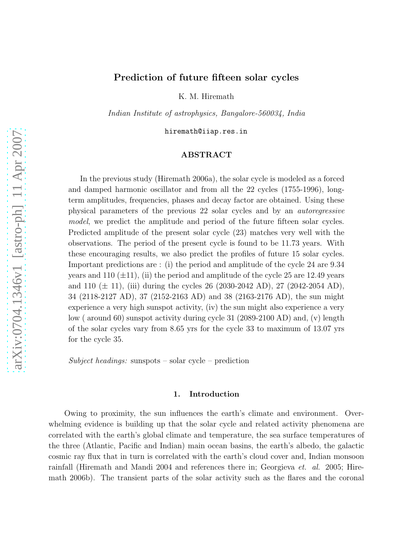# Prediction of future fifteen solar cycles

K. M. Hiremath

*Indian Institute of astrophysics, Bangalore-560034, India*

hiremath@iiap.res.in

## ABSTRACT

In the previous study (Hiremath 2006a), the solar cycle is modeled as a forced and damped harmonic oscillator and from all the 22 cycles (1755-1996), longterm amplitudes, frequencies, phases and decay factor are obtained. Using these physical parameters of the previous 22 solar cycles and by an *autoregressive model*, we predict the amplitude and period of the future fifteen solar cycles. Predicted amplitude of the present solar cycle (23) matches very well with the observations. The period of the present cycle is found to be 11.73 years. With these encouraging results, we also predict the profiles of future 15 solar cycles. Important predictions are : (i) the period and amplitude of the cycle 24 are 9.34 years and 110  $(\pm 11)$ , (ii) the period and amplitude of the cycle 25 are 12.49 years and 110  $(\pm 11)$ , (iii) during the cycles 26 (2030-2042 AD), 27 (2042-2054 AD), 34 (2118-2127 AD), 37 (2152-2163 AD) and 38 (2163-2176 AD), the sun might experience a very high sunspot activity, (iv) the sun might also experience a very low ( around 60) sunspot activity during cycle 31 (2089-2100 AD) and, (v) length of the solar cycles vary from 8.65 yrs for the cycle 33 to maximum of 13.07 yrs for the cycle 35.

*Subject headings:* sunspots – solar cycle – prediction

## 1. Introduction

Owing to proximity, the sun influences the earth's climate and environment. Overwhelming evidence is building up that the solar cycle and related activity phenomena are correlated with the earth's global climate and temperature, the sea surface temperatures of the three (Atlantic, Pacific and Indian) main ocean basins, the earth's albedo, the galactic cosmic ray flux that in turn is correlated with the earth's cloud cover and, Indian monsoon rainfall (Hiremath and Mandi 2004 and references there in; Georgieva *et. al.* 2005; Hiremath 2006b). The transient parts of the solar activity such as the flares and the coronal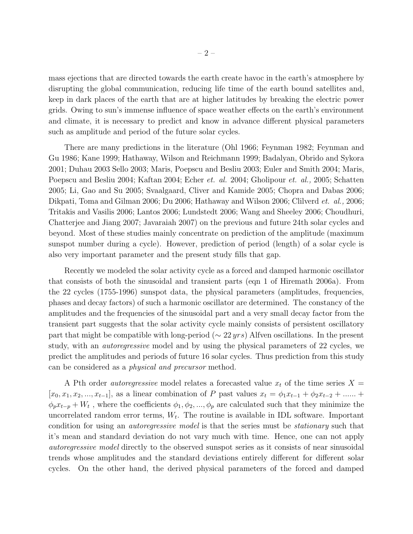mass ejections that are directed towards the earth create havoc in the earth's atmosphere by disrupting the global communication, reducing life time of the earth bound satellites and, keep in dark places of the earth that are at higher latitudes by breaking the electric power grids. Owing to sun's immense influence of space weather effects on the earth's environment and climate, it is necessary to predict and know in advance different physical parameters such as amplitude and period of the future solar cycles.

There are many predictions in the literature (Ohl 1966; Feynman 1982; Feynman and Gu 1986; Kane 1999; Hathaway, Wilson and Reichmann 1999; Badalyan, Obrido and Sykora 2001; Duhau 2003 Sello 2003; Maris, Poepscu and Besliu 2003; Euler and Smith 2004; Maris, Poepscu and Besliu 2004; Kaftan 2004; Echer *et. al.* 2004; Gholipour *et. al.,* 2005; Schatten 2005; Li, Gao and Su 2005; Svaalgaard, Cliver and Kamide 2005; Chopra and Dabas 2006; Dikpati, Toma and Gilman 2006; Du 2006; Hathaway and Wilson 2006; Clilverd *et. al.,* 2006; Tritakis and Vasilis 2006; Lantos 2006; Lundstedt 2006; Wang and Sheeley 2006; Choudhuri, Chatterjee and Jiang 2007; Javaraiah 2007) on the previous and future 24th solar cycles and beyond. Most of these studies mainly concentrate on prediction of the amplitude (maximum sunspot number during a cycle). However, prediction of period (length) of a solar cycle is also very important parameter and the present study fills that gap.

Recently we modeled the solar activity cycle as a forced and damped harmonic oscillator that consists of both the sinusoidal and transient parts (eqn 1 of Hiremath 2006a). From the 22 cycles (1755-1996) sunspot data, the physical parameters (amplitudes, frequencies, phases and decay factors) of such a harmonic oscillator are determined. The constancy of the amplitudes and the frequencies of the sinusoidal part and a very small decay factor from the transient part suggests that the solar activity cycle mainly consists of persistent oscillatory part that might be compatible with long-period ( $\sim$  22 yrs) Alfven oscillations. In the present study, with an *autoregressive* model and by using the physical parameters of 22 cycles, we predict the amplitudes and periods of future 16 solar cycles. Thus prediction from this study can be considered as a *physical and precursor* method.

A Pth order *autoregressive* model relates a forecasted value  $x_t$  of the time series  $X =$  $[x_0, x_1, x_2, ..., x_{t-1}]$ , as a linear combination of P past values  $x_t = \phi_1 x_{t-1} + \phi_2 x_{t-2} + ...$  $\phi_p x_{t-p} + W_t$ , where the coefficients  $\phi_1, \phi_2, ..., \phi_p$  are calculated such that they minimize the uncorrelated random error terms,  $W_t$ . The routine is available in IDL software. Important condition for using an *autoregressive model* is that the series must be *stationary* such that it's mean and standard deviation do not vary much with time. Hence, one can not apply *autoregressive model* directly to the observed sunspot series as it consists of near sinusoidal trends whose amplitudes and the standard deviations entirely different for different solar cycles. On the other hand, the derived physical parameters of the forced and damped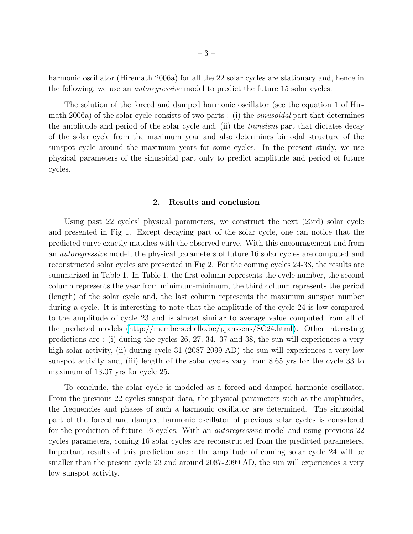harmonic oscillator (Hiremath 2006a) for all the 22 solar cycles are stationary and, hence in the following, we use an *autoregressive* model to predict the future 15 solar cycles.

The solution of the forced and damped harmonic oscillator (see the equation 1 of Hirmath 2006a) of the solar cycle consists of two parts : (i) the *sinusoidal* part that determines the amplitude and period of the solar cycle and, (ii) the *transient* part that dictates decay of the solar cycle from the maximum year and also determines bimodal structure of the sunspot cycle around the maximum years for some cycles. In the present study, we use physical parameters of the sinusoidal part only to predict amplitude and period of future cycles.

#### 2. Results and conclusion

Using past 22 cycles' physical parameters, we construct the next (23rd) solar cycle and presented in Fig 1. Except decaying part of the solar cycle, one can notice that the predicted curve exactly matches with the observed curve. With this encouragement and from an *autoregressive* model, the physical parameters of future 16 solar cycles are computed and reconstructed solar cycles are presented in Fig 2. For the coming cycles 24-38, the results are summarized in Table 1. In Table 1, the first column represents the cycle number, the second column represents the year from minimum-minimum, the third column represents the period (length) of the solar cycle and, the last column represents the maximum sunspot number during a cycle. It is interesting to note that the amplitude of the cycle 24 is low compared to the amplitude of cycle 23 and is almost similar to average value computed from all of the predicted models [\(http://members.chello.be/j.janssens/SC24.html\)](http://members.chello.be/j.janssens/SC24.html). Other interesting predictions are : (i) during the cycles 26, 27, 34. 37 and 38, the sun will experiences a very high solar activity, (ii) during cycle 31 (2087-2099 AD) the sun will experiences a very low sunspot activity and, (iii) length of the solar cycles vary from 8.65 yrs for the cycle 33 to maximum of 13.07 yrs for cycle 25.

To conclude, the solar cycle is modeled as a forced and damped harmonic oscillator. From the previous 22 cycles sunspot data, the physical parameters such as the amplitudes, the frequencies and phases of such a harmonic oscillator are determined. The sinusoidal part of the forced and damped harmonic oscillator of previous solar cycles is considered for the prediction of future 16 cycles. With an *autoregressive* model and using previous 22 cycles parameters, coming 16 solar cycles are reconstructed from the predicted parameters. Important results of this prediction are : the amplitude of coming solar cycle 24 will be smaller than the present cycle 23 and around 2087-2099 AD, the sun will experiences a very low sunspot activity.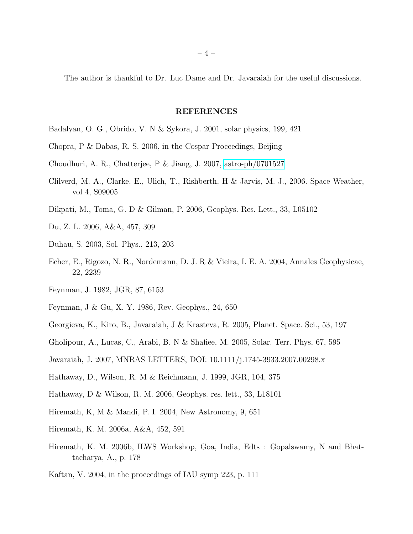The author is thankful to Dr. Luc Dame and Dr. Javaraiah for the useful discussions.

### REFERENCES

- Badalyan, O. G., Obrido, V. N & Sykora, J. 2001, solar physics, 199, 421
- Chopra, P & Dabas, R. S. 2006, in the Cospar Proceedings, Beijing
- Choudhuri, A. R., Chatterjee, P & Jiang, J. 2007, [astro-ph/0701527](http://arxiv.org/abs/astro-ph/0701527)
- Clilverd, M. A., Clarke, E., Ulich, T., Rishberth, H & Jarvis, M. J., 2006. Space Weather, vol 4, S09005
- Dikpati, M., Toma, G. D & Gilman, P. 2006, Geophys. Res. Lett., 33, L05102
- Du, Z. L. 2006, A&A, 457, 309
- Duhau, S. 2003, Sol. Phys., 213, 203
- Echer, E., Rigozo, N. R., Nordemann, D. J. R & Vieira, I. E. A. 2004, Annales Geophysicae, 22, 2239
- Feynman, J. 1982, JGR, 87, 6153
- Feynman, J & Gu, X. Y. 1986, Rev. Geophys., 24, 650
- Georgieva, K., Kiro, B., Javaraiah, J & Krasteva, R. 2005, Planet. Space. Sci., 53, 197
- Gholipour, A., Lucas, C., Arabi, B. N & Shafiee, M. 2005, Solar. Terr. Phys, 67, 595
- Javaraiah, J. 2007, MNRAS LETTERS, DOI: 10.1111/j.1745-3933.2007.00298.x
- Hathaway, D., Wilson, R. M & Reichmann, J. 1999, JGR, 104, 375
- Hathaway, D & Wilson, R. M. 2006, Geophys. res. lett., 33, L18101
- Hiremath, K, M & Mandi, P. I. 2004, New Astronomy, 9, 651
- Hiremath, K. M. 2006a, A&A, 452, 591
- Hiremath, K. M. 2006b, ILWS Workshop, Goa, India, Edts : Gopalswamy, N and Bhattacharya, A., p. 178
- Kaftan, V. 2004, in the proceedings of IAU symp 223, p. 111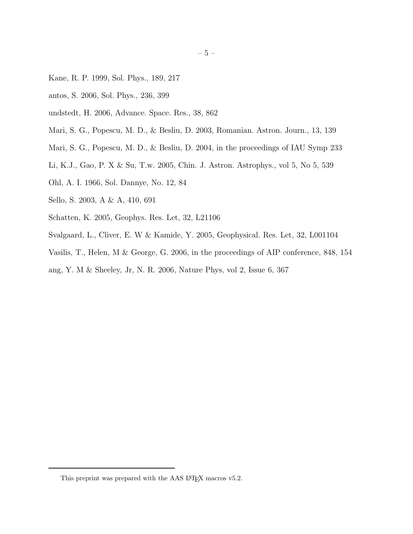- Kane, R. P. 1999, Sol. Phys., 189, 217
- antos, S. 2006, Sol. Phys., 236, 399
- undstedt, H. 2006, Advance. Space. Res., 38, 862
- Mari, S. G., Popescu, M. D., & Besliu, D. 2003, Romanian. Astron. Journ., 13, 139
- Mari, S. G., Popescu, M. D., & Besliu, D. 2004, in the proceedings of IAU Symp 233
- Li, K.J., Gao, P. X & Su, T.w. 2005, Chin. J. Astron. Astrophys., vol 5, No 5, 539
- Ohl, A. I. 1966, Sol. Dannye, No. 12, 84
- Sello, S. 2003, A & A, 410, 691
- Schatten, K. 2005, Geophys. Res. Let, 32, L21106
- Svalgaard, L., Cliver, E. W & Kamide, Y. 2005, Geophysical. Res. Let, 32, L001104
- Vasilis, T., Helen, M & George, G. 2006, in the proceedings of AIP conference, 848, 154
- ang, Y. M & Sheeley, Jr, N. R. 2006, Nature Phys, vol 2, Issue 6, 367

<sup>– 5 –</sup>

This preprint was prepared with the  $\mathrm{AAS}$  LATEX macros v5.2.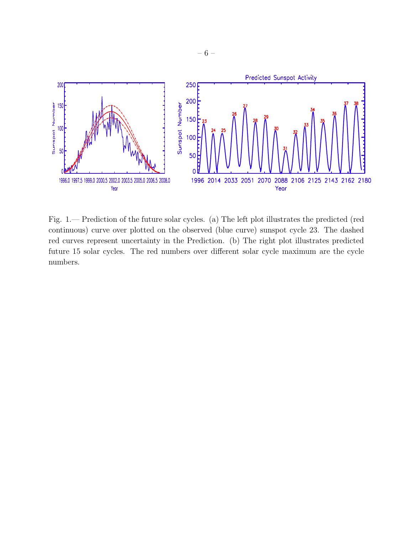

Fig. 1.— Prediction of the future solar cycles. (a) The left plot illustrates the predicted (red continuous) curve over plotted on the observed (blue curve) sunspot cycle 23. The dashed red curves represent uncertainty in the Prediction. (b) The right plot illustrates predicted future 15 solar cycles. The red numbers over different solar cycle maximum are the cycle numbers.